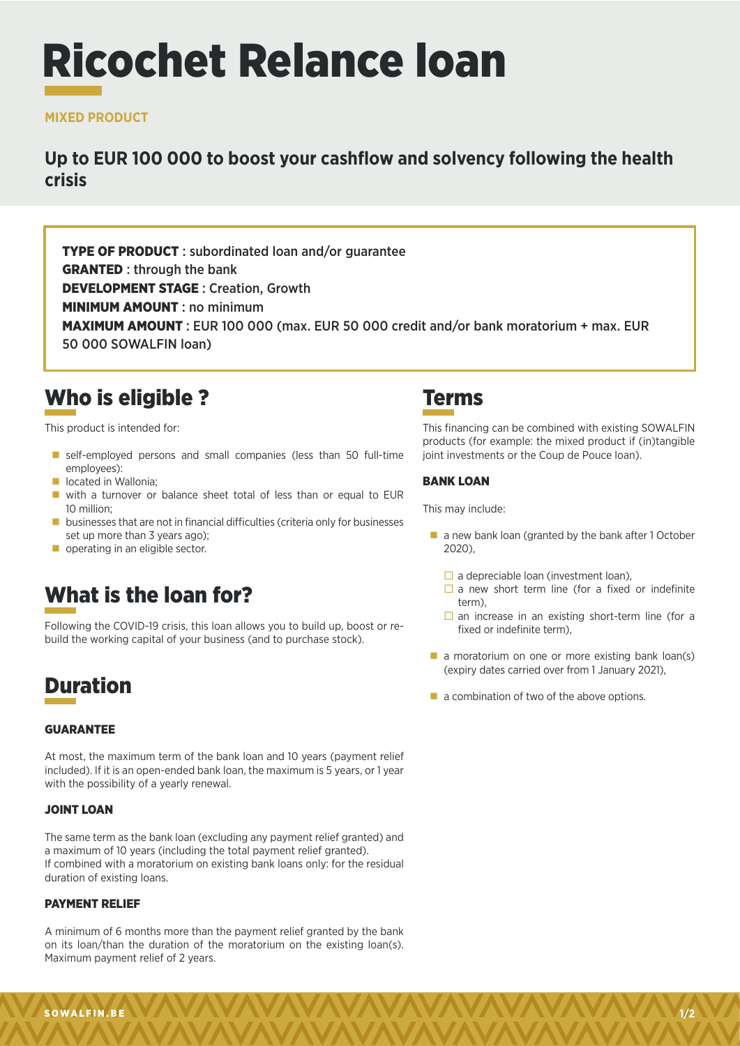# Ricochet Relance loan

#### **MIXED PRODUCT**

### **Up to EUR 100 000 to boost your cashflow and solvency following the health crisis**

TYPE OF PRODUCT : subordinated loan and/or guarantee GRANTED : through the bank DEVELOPMENT STAGE : Creation, Growth **MINIMUM AMOUNT: no minimum** MAXIMUM AMOUNT : EUR 100 000 (max. EUR 50 000 credit and/or bank moratorium + max. EUR 50 000 SOWALFIN loan)

## Who is eligible ?

This product is intended for:

- self-employed persons and small companies (less than 50 full-time employees):
- **lacated in Wallonia;**
- with a turnover or balance sheet total of less than or equal to EUR 10 million;
- **businesses that are not in financial difficulties (criteria only for businesses** set up more than 3 years ago);
- operating in an eligible sector.

## What is the loan for?

Following the COVID-19 crisis, this loan allows you to build up, boost or rebuild the working capital of your business (and to purchase stock).

## Duration

#### GUARANTEE

At most, the maximum term of the bank loan and 10 years (payment relief included). If it is an open-ended bank loan, the maximum is 5 years, or 1 year with the possibility of a yearly renewal.

#### JOINT LOAN

The same term as the bank loan (excluding any payment relief granted) and a maximum of 10 years (including the total payment relief granted). If combined with a moratorium on existing bank loans only: for the residual duration of existing loans.

#### PAYMENT RELIEF

A minimum of 6 months more than the payment relief granted by the bank on its loan/than the duration of the moratorium on the existing loan(s). Maximum payment relief of 2 years.

## Terms

This financing can be combined with existing SOWALFIN products (for example: the mixed product if (in)tangible joint investments or the Coup de Pouce loan).

#### BANK LOAN

This may include:

- a new bank loan (granted by the bank after 1 October 2020),
	- $\Box$  a depreciable loan (investment loan).
	- $\square$  a new short term line (for a fixed or indefinite term),
	- $\square$  an increase in an existing short-term line (for a fixed or indefinite term),
- $\blacksquare$  a moratorium on one or more existing bank loan(s) (expiry dates carried over from 1 January 2021),
- $\blacksquare$  a combination of two of the above options.